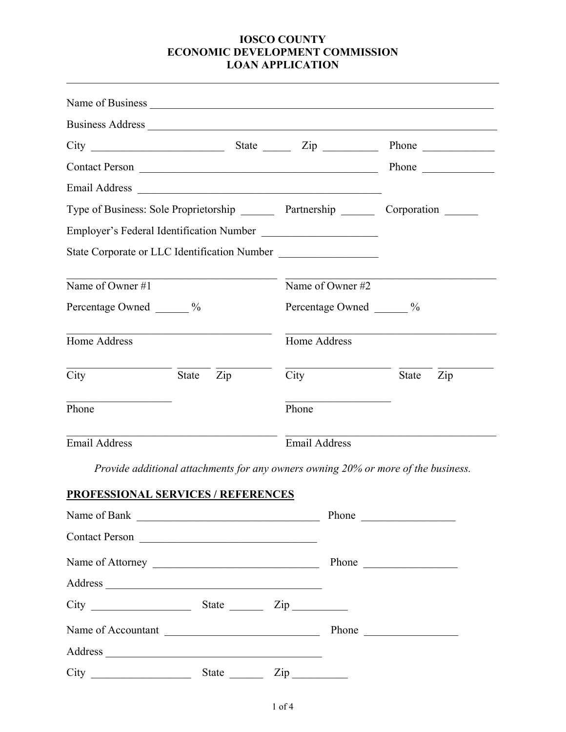|                                                                                        |                                                                                                                                                                                                                                      |                                   |                                              | Phone                                             |
|----------------------------------------------------------------------------------------|--------------------------------------------------------------------------------------------------------------------------------------------------------------------------------------------------------------------------------------|-----------------------------------|----------------------------------------------|---------------------------------------------------|
|                                                                                        |                                                                                                                                                                                                                                      |                                   |                                              |                                                   |
| Type of Business: Sole Proprietorship ________ Partnership ________ Corporation ______ |                                                                                                                                                                                                                                      |                                   |                                              |                                                   |
|                                                                                        |                                                                                                                                                                                                                                      |                                   | Employer's Federal Identification Number     |                                                   |
|                                                                                        |                                                                                                                                                                                                                                      |                                   | State Corporate or LLC Identification Number |                                                   |
| Name of Owner #1                                                                       |                                                                                                                                                                                                                                      |                                   | Name of Owner #2                             |                                                   |
| Percentage Owned _______ %                                                             |                                                                                                                                                                                                                                      |                                   | Percentage Owned ______ %                    |                                                   |
| Home Address                                                                           | <u> 1990 - Johann John Stoff, deutscher Stoffen und der Stoffen und der Stoffen und der Stoffen und der Stoffen und der Stoffen und der Stoffen und der Stoffen und der Stoffen und der Stoffen und der Stoffen und der Stoffen </u> |                                   | Home Address                                 |                                                   |
| City                                                                                   | State                                                                                                                                                                                                                                | $\mathop{\mathrm {Zip}}\nolimits$ | City                                         | $\mathop{\mathrm {Zip}}\nolimits$<br><b>State</b> |
| Phone                                                                                  |                                                                                                                                                                                                                                      |                                   | Phone                                        |                                                   |
| <b>Email Address</b>                                                                   |                                                                                                                                                                                                                                      |                                   | <b>Email Address</b>                         |                                                   |

*Provide additional attachments for any owners owning 20% or more of the business.* 

# **PROFESSIONAL SERVICES / REFERENCES**

|                                                           |       |                          | Phone                    |
|-----------------------------------------------------------|-------|--------------------------|--------------------------|
| Contact Person                                            |       |                          |                          |
|                                                           |       |                          | Phone                    |
| Address                                                   |       |                          |                          |
|                                                           | State | $\mathsf{Zip} \_\_$      |                          |
| Name of Accountant                                        |       |                          | Phone                    |
|                                                           |       |                          |                          |
| City<br><u> 1980 - Andrea Brand, amerikansk politik (</u> | State | $\operatorname{Zip}_{-}$ | $\overline{\phantom{a}}$ |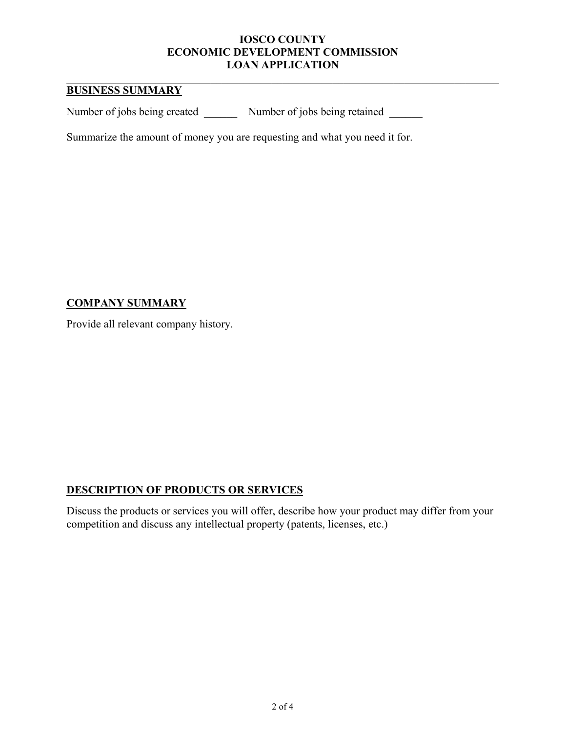## **BUSINESS SUMMARY**

Number of jobs being created Number of jobs being retained

Summarize the amount of money you are requesting and what you need it for.

## **COMPANY SUMMARY**

Provide all relevant company history.

# **DESCRIPTION OF PRODUCTS OR SERVICES**

Discuss the products or services you will offer, describe how your product may differ from your competition and discuss any intellectual property (patents, licenses, etc.)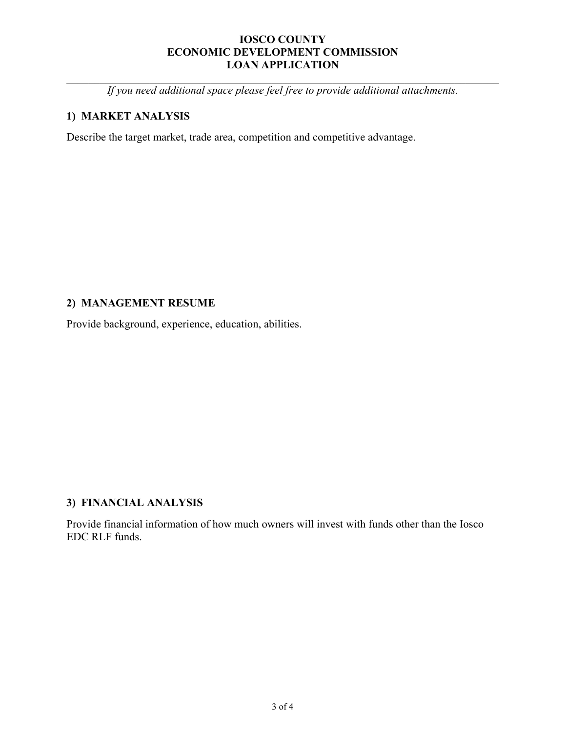*If you need additional space please feel free to provide additional attachments.* 

# **1) MARKET ANALYSIS**

Describe the target market, trade area, competition and competitive advantage.

# **2) MANAGEMENT RESUME**

Provide background, experience, education, abilities.

## **3) FINANCIAL ANALYSIS**

Provide financial information of how much owners will invest with funds other than the Iosco EDC RLF funds.